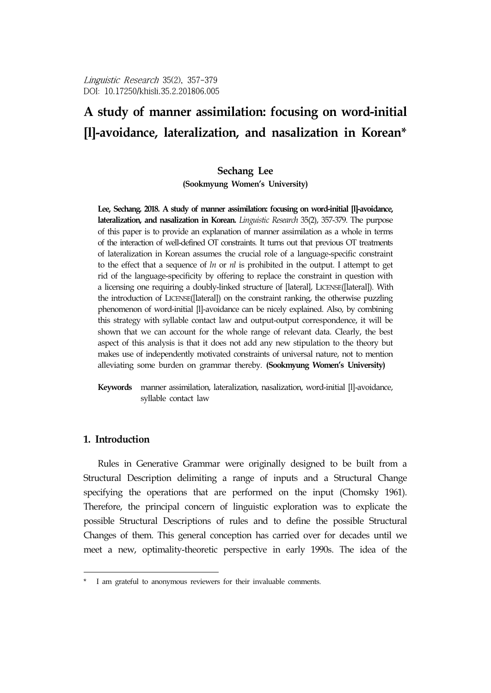# **A study of manner assimilation: focusing on word-initial [l]-avoidance, lateralization, and nasalization in Korean\***<sup>8</sup>

### **Sechang Lee**

**(Sookmyung Women's University)**

**Lee, Sechang. 2018. A study of manner assimilation: focusing on word-initial [l]-avoidance, lateralization, and nasalization in Korean.** *Linguistic Research* 35(2), 357-379. The purpose of this paper is to provide an explanation of manner assimilation as a whole in terms of the interaction of well-defined OT constraints. It turns out that previous OT treatments of lateralization in Korean assumes the crucial role of a language-specific constraint to the effect that a sequence of *ln* or *nl* is prohibited in the output. I attempt to get rid of the language-specificity by offering to replace the constraint in question with a licensing one requiring a doubly-linked structure of [lateral], LICENSE([lateral]). With the introduction of LICENSE([lateral]) on the constraint ranking, the otherwise puzzling phenomenon of word-initial [l]-avoidance can be nicely explained. Also, by combining this strategy with syllable contact law and output-output correspondence, it will be shown that we can account for the whole range of relevant data. Clearly, the best aspect of this analysis is that it does not add any new stipulation to the theory but makes use of independently motivated constraints of universal nature, not to mention alleviating some burden on grammar thereby. **(Sookmyung Women's University)**

**Keywords** manner assimilation, lateralization, nasalization, word-initial [l]-avoidance, syllable contact law

### **1. Introduction**

Rules in Generative Grammar were originally designed to be built from a Structural Description delimiting a range of inputs and a Structural Change specifying the operations that are performed on the input (Chomsky 1961). Therefore, the principal concern of linguistic exploration was to explicate the possible Structural Descriptions of rules and to define the possible Structural Changes of them. This general conception has carried over for decades until we meet a new, optimality-theoretic perspective in early 1990s. The idea of the

I am grateful to anonymous reviewers for their invaluable comments.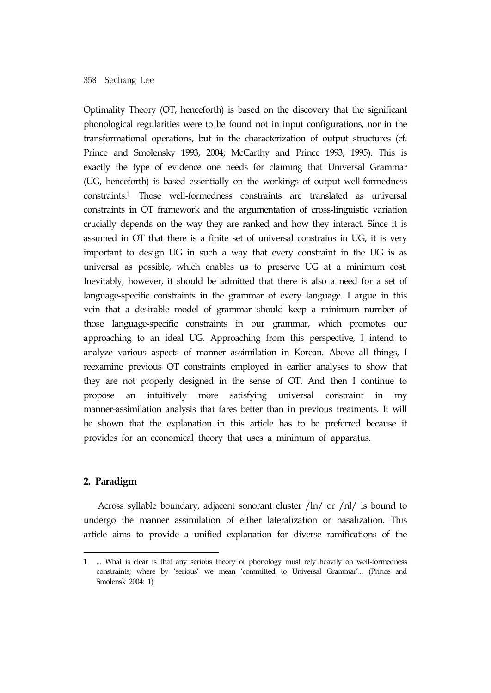Optimality Theory (OT, henceforth) is based on the discovery that the significant phonological regularities were to be found not in input configurations, nor in the transformational operations, but in the characterization of output structures (cf. Prince and Smolensky 1993, 2004; McCarthy and Prince 1993, 1995). This is exactly the type of evidence one needs for claiming that Universal Grammar (UG, henceforth) is based essentially on the workings of output well-formedness constraints.1 Those well-formedness constraints are translated as universal constraints in OT framework and the argumentation of cross-linguistic variation crucially depends on the way they are ranked and how they interact. Since it is assumed in OT that there is a finite set of universal constrains in UG, it is very important to design UG in such a way that every constraint in the UG is as universal as possible, which enables us to preserve UG at a minimum cost. Inevitably, however, it should be admitted that there is also a need for a set of language-specific constraints in the grammar of every language. I argue in this vein that a desirable model of grammar should keep a minimum number of those language-specific constraints in our grammar, which promotes our approaching to an ideal UG. Approaching from this perspective, I intend to analyze various aspects of manner assimilation in Korean. Above all things, I reexamine previous OT constraints employed in earlier analyses to show that they are not properly designed in the sense of OT. And then I continue to propose an intuitively more satisfying universal constraint in my manner-assimilation analysis that fares better than in previous treatments. It will be shown that the explanation in this article has to be preferred because it provides for an economical theory that uses a minimum of apparatus.

### **2. Paradigm**

Across syllable boundary, adjacent sonorant cluster /ln/ or /nl/ is bound to undergo the manner assimilation of either lateralization or nasalization. This article aims to provide a unified explanation for diverse ramifications of the

<sup>1 ...</sup> What is clear is that any serious theory of phonology must rely heavily on well-formedness constraints; where by 'serious' we mean 'committed to Universal Grammar'... (Prince and Smolensk 2004: 1)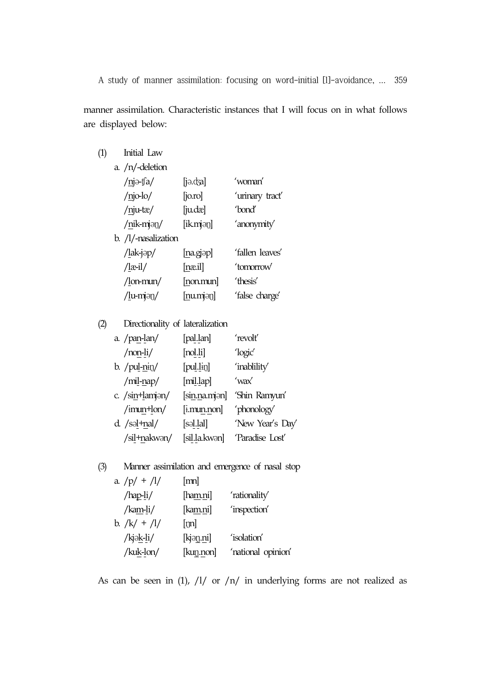manner assimilation. Characteristic instances that I will focus on in what follows are displayed below:

## (1) Initial Law a. /n/-deletion /njə-ʧa/ [jə.ʤa] 'woman' /njo-lo/ [jo.ro] 'urinary tract' /nju-tæ/ [ju.dæ] 'bond' /nik-mjəŋ/ [ik.mjəŋ] 'anonymity' b. /l/-nasalization /lak-jəp/ [na.gjəp] 'fallen leaves' /læ-il/ [næ.il] 'tomorrow' /lon-mun/ [non.mun] 'thesis' /lu-mjəŋ/ [nu.mjəŋ] 'false charge'

### (2) Directionality of lateralization

| a. $/$ pan-lan $/$    | [pal.lan]                    | 'revolt'      |                  |
|-----------------------|------------------------------|---------------|------------------|
| $/$ non-li $/$        | [nd.li]                      | 'logic'       |                  |
| b. $/\text{pul-nii}/$ | $[{\rm pul.}$ $\text{Lip}$ ] | 'inablility'  |                  |
| $/$ mil-nap $/$       | [mi.lap]                     | 'wax'         |                  |
| c. /sin+lamjan/       |                              | [sin.na.mjan] | 'Shin Ramyun'    |
| $\$ {imum+lon}/       |                              | [i.mun.non]   | 'phonology'      |
| $d.$ /səl $+nal/$     | [səl.lal]                    |               | 'New Year's Day' |
| /sil+nakwan/          |                              | [sil.la.kwən] | 'Paradise Lost'  |

### (3) Manner assimilation and emergence of nasal stop

| a. $/p/ + /l/$ | $[{\rm mn}]$      |                    |
|----------------|-------------------|--------------------|
| $/hap-li/$     | [ha <u>m</u> .ni] | 'rationality'      |
| $/kam-li/$     | [ka <u>m</u> .ni] | 'inspection'       |
| b. $/k/ + /l/$ | [m]               |                    |
| /kjək-li/      | [kjən.ni]         | 'isolation'        |
| /kuk-lon/      | [kuŋ.non]         | 'national opinion' |
|                |                   |                    |

As can be seen in (1),  $/1/$  or  $/n/$  in underlying forms are not realized as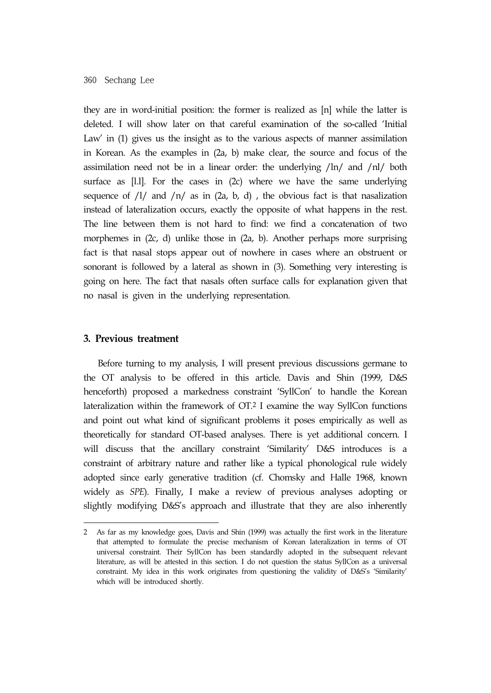they are in word-initial position: the former is realized as [n] while the latter is deleted. I will show later on that careful examination of the so-called 'Initial Law' in (1) gives us the insight as to the various aspects of manner assimilation in Korean. As the examples in (2a, b) make clear, the source and focus of the assimilation need not be in a linear order: the underlying /ln/ and /nl/ both surface as [l.l]. For the cases in (2c) where we have the same underlying sequence of  $\frac{1}{4}$  and  $\frac{1}{n}$  as in  $(2a, b, d)$ , the obvious fact is that nasalization instead of lateralization occurs, exactly the opposite of what happens in the rest. The line between them is not hard to find: we find a concatenation of two morphemes in (2c, d) unlike those in (2a, b). Another perhaps more surprising fact is that nasal stops appear out of nowhere in cases where an obstruent or sonorant is followed by a lateral as shown in (3). Something very interesting is going on here. The fact that nasals often surface calls for explanation given that no nasal is given in the underlying representation.

#### **3. Previous treatment**

Before turning to my analysis, I will present previous discussions germane to the OT analysis to be offered in this article. Davis and Shin (1999, D&S henceforth) proposed a markedness constraint 'SyllCon' to handle the Korean lateralization within the framework of OT.2 I examine the way SyllCon functions and point out what kind of significant problems it poses empirically as well as theoretically for standard OT-based analyses. There is yet additional concern. I will discuss that the ancillary constraint 'Similarity' D&S introduces is a constraint of arbitrary nature and rather like a typical phonological rule widely adopted since early generative tradition (cf. Chomsky and Halle 1968, known widely as *SPE*). Finally, I make a review of previous analyses adopting or slightly modifying D&S's approach and illustrate that they are also inherently

<sup>2</sup> As far as my knowledge goes, Davis and Shin (1999) was actually the first work in the literature that attempted to formulate the precise mechanism of Korean lateralization in terms of OT universal constraint. Their SyllCon has been standardly adopted in the subsequent relevant literature, as will be attested in this section. I do not question the status SyllCon as a universal constraint. My idea in this work originates from questioning the validity of D&S's 'Similarity' which will be introduced shortly.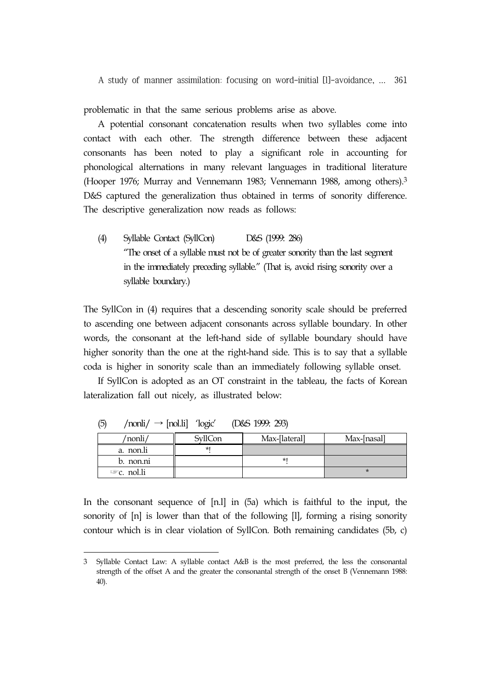problematic in that the same serious problems arise as above.

A potential consonant concatenation results when two syllables come into contact with each other. The strength difference between these adjacent consonants has been noted to play a significant role in accounting for phonological alternations in many relevant languages in traditional literature (Hooper 1976; Murray and Vennemann 1983; Vennemann 1988, among others).3 D&S captured the generalization thus obtained in terms of sonority difference. The descriptive generalization now reads as follows:

(4) Syllable Contact (SyllCon) D&S (1999: 286) "The onset of a syllable must not be of greater sonority than the last segment in the immediately preceding syllable." (That is, avoid rising sonority over a syllable boundary.)

The SyllCon in (4) requires that a descending sonority scale should be preferred to ascending one between adjacent consonants across syllable boundary. In other words, the consonant at the left-hand side of syllable boundary should have higher sonority than the one at the right-hand side. This is to say that a syllable coda is higher in sonority scale than an immediately following syllable onset.

If SyllCon is adopted as an OT constraint in the tableau, the facts of Korean lateralization fall out nicely, as illustrated below:

| $\sim$ | 1001               | $1 - 1$ | $2000 + 1000 + 2000$ |             |
|--------|--------------------|---------|----------------------|-------------|
|        | 'nonli             | SvllCon | Max-[lateral]        | Max-[nasal] |
|        | a. non.li          |         |                      |             |
|        | b. non.ni          |         |                      |             |
|        | $\infty$ c. nol.li |         |                      |             |

 $(5)$  /nonli $/ \rightarrow$  [nol.li] 'logic' (D&S 1999: 293)

In the consonant sequence of [n.l] in (5a) which is faithful to the input, the sonority of [n] is lower than that of the following [l], forming a rising sonority contour which is in clear violation of SyllCon. Both remaining candidates (5b, c)

<sup>3</sup> Syllable Contact Law: A syllable contact A&B is the most preferred, the less the consonantal strength of the offset A and the greater the consonantal strength of the onset B (Vennemann 1988: 40).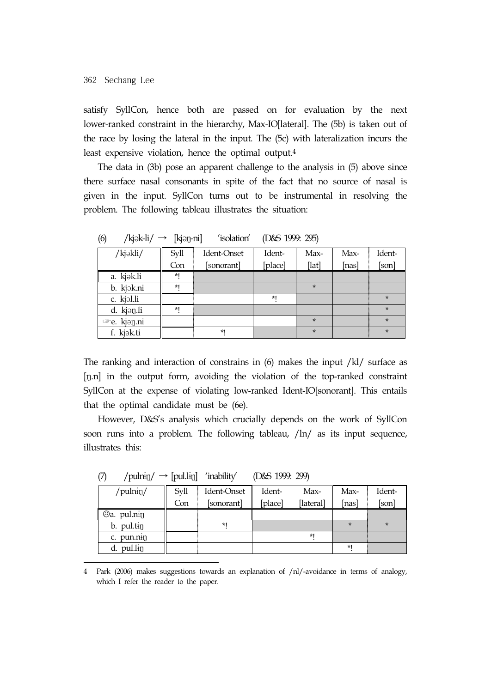satisfy SyllCon, hence both are passed on for evaluation by the next lower-ranked constraint in the hierarchy, Max-IO[lateral]. The (5b) is taken out of the race by losing the lateral in the input. The (5c) with lateralization incurs the least expensive violation, hence the optimal output.4

The data in (3b) pose an apparent challenge to the analysis in (5) above since there surface nasal consonants in spite of the fact that no source of nasal is given in the input. SyllCon turns out to be instrumental in resolving the problem. The following tableau illustrates the situation:

| $\sqrt{ }$<br>.<br>$\overline{\phantom{a}}$ | .    |             |         |         |       |         |
|---------------------------------------------|------|-------------|---------|---------|-------|---------|
| /kjəkli/                                    | Syll | Ident-Onset | Ident-  | Max-    | Max-  | Ident-  |
|                                             | Con  | [sonorant]  | [place] | [lat]   | [nas] | [son]   |
| a. kjək.li                                  | *1   |             |         |         |       |         |
| b. kjak.ni                                  | *1   |             |         | $\star$ |       |         |
| c. kjəl.li                                  |      |             | *1      |         |       | $\star$ |
| d. kjan.li                                  | *1   |             |         |         |       | $\star$ |
| <sup>■</sup> e. kjan.ni                     |      |             |         | $\star$ |       | $\star$ |
| f. kjak.ti                                  |      | $*1$        |         | $\star$ |       | $\star$ |

(6) /kjək-li/  $\rightarrow$  [kjəŋ-ni] 'isolation' (D&S 1999: 295)

The ranking and interaction of constrains in  $(6)$  makes the input /kl/ surface as [ŋ.n] in the output form, avoiding the violation of the top-ranked constraint SyllCon at the expense of violating low-ranked Ident-IO[sonorant]. This entails that the optimal candidate must be (6e).

However, D&S's analysis which crucially depends on the work of SyllCon soon runs into a problem. The following tableau, /ln/ as its input sequence, illustrates this:

| $\mathbf{v}$<br>$\mu$ points in $\mu$ | $1P^{U1111}$ | <b>HELLE</b> , | $10000$ $17771$ $1777$ |           |       |         |
|---------------------------------------|--------------|----------------|------------------------|-----------|-------|---------|
| /pulnin/                              | Syll         | Ident-Onset    | Ident-                 | Max-      | Max-  | Ident-  |
|                                       | Con          | [sonorant]     | [place]                | [lateral] | [nas] | [son]   |
| Sa. pul.nin                           |              |                |                        |           |       |         |
| b. pul.tin                            |              | $*1$           |                        |           | ÷     | $\star$ |
| c. pun.nin                            |              |                |                        | *1        |       |         |
| d. pul.lin                            |              |                |                        |           | *1    |         |

 $(7)$  /pulnin/  $\rightarrow$  [pul.lin] 'inability' (D&S 1999: 299)

4 Park (2006) makes suggestions towards an explanation of /nl/-avoidance in terms of analogy, which I refer the reader to the paper.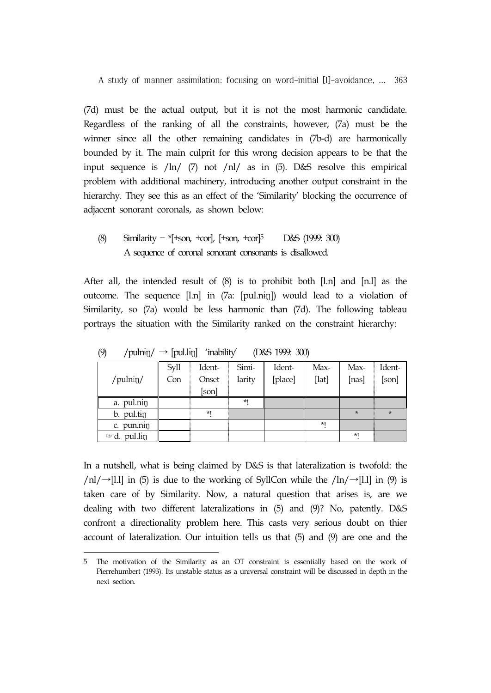(7d) must be the actual output, but it is not the most harmonic candidate. Regardless of the ranking of all the constraints, however, (7a) must be the winner since all the other remaining candidates in (7b-d) are harmonically bounded by it. The main culprit for this wrong decision appears to be that the input sequence is /ln/ (7) not /nl/ as in (5). D&S resolve this empirical problem with additional machinery, introducing another output constraint in the hierarchy. They see this as an effect of the 'Similarity' blocking the occurrence of adjacent sonorant coronals, as shown below:

### (8) Similarity – \*[+son, +cor], [+son, +cor]5 D&S (1999: 300) A sequence of coronal sonorant consonants is disallowed.

After all, the intended result of (8) is to prohibit both [l.n] and [n.l] as the outcome. The sequence [l.n] in (7a: [pul.nɨŋ]) would lead to a violation of Similarity, so (7a) would be less harmonic than (7d). The following tableau portrays the situation with the Similarity ranked on the constraint hierarchy:

|                            | Syll | Ident- | Simi-  | Ident-  | Max-  | Max-    | Ident-  |
|----------------------------|------|--------|--------|---------|-------|---------|---------|
| /pulnin/                   | Con  | Onset  | larity | [place] | [lat] | [nas]   | [son]   |
|                            |      | [son]  |        |         |       |         |         |
| a. pul.nin                 |      |        | *1     |         |       |         |         |
| b. pul.tin                 |      | $*1$   |        |         |       | $\star$ | $\star$ |
| pun.nin<br>c.              |      |        |        |         | *1    |         |         |
| pul.lin<br>$\mathbb{Z}$ d. |      |        |        |         |       | $*1$    |         |

(9) /pulnin/  $\rightarrow$  [pul.lin] 'inability' (D&S 1999: 300)

In a nutshell, what is being claimed by D&S is that lateralization is twofold: the /nl/→[l.l] in (5) is due to the working of SyllCon while the /ln/→[l.l] in (9) is taken care of by Similarity. Now, a natural question that arises is, are we dealing with two different lateralizations in (5) and (9)? No, patently. D&S confront a directionality problem here. This casts very serious doubt on thier account of lateralization. Our intuition tells us that (5) and (9) are one and the

<sup>5</sup> The motivation of the Similarity as an OT constraint is essentially based on the work of Pierrehumbert (1993). Its unstable status as a universal constraint will be discussed in depth in the next section.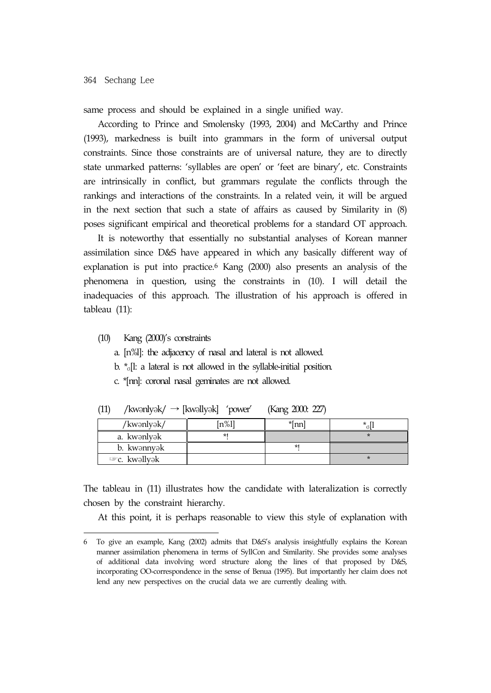same process and should be explained in a single unified way.

According to Prince and Smolensky (1993, 2004) and McCarthy and Prince (1993), markedness is built into grammars in the form of universal output constraints. Since those constraints are of universal nature, they are to directly state unmarked patterns: 'syllables are open' or 'feet are binary', etc. Constraints are intrinsically in conflict, but grammars regulate the conflicts through the rankings and interactions of the constraints. In a related vein, it will be argued in the next section that such a state of affairs as caused by Similarity in (8) poses significant empirical and theoretical problems for a standard OT approach.

It is noteworthy that essentially no substantial analyses of Korean manner assimilation since D&S have appeared in which any basically different way of explanation is put into practice.6 Kang (2000) also presents an analysis of the phenomena in question, using the constraints in (10). I will detail the inadequacies of this approach. The illustration of his approach is offered in tableau (11):

(10) Kang (2000)'s constraints

a. [n%l]: the adjacency of nasal and lateral is not allowed.

- b.  $*_{\sigma}$ [l: a lateral is not allowed in the syllable-initial position.
- c. \*[nn]: coronal nasal geminates are not allowed.

| /kwənlyək/    | n%l` | *lnn | × |
|---------------|------|------|---|
| a. kwənlyək   |      |      |   |
| b. kwənnyək   |      | *1   |   |
| ≌‴c. kwəllyək |      |      |   |

(11) /kwənlyək/  $\rightarrow$  [kwəllyək] 'power' (Kang 2000: 227)

The tableau in (11) illustrates how the candidate with lateralization is correctly chosen by the constraint hierarchy.

At this point, it is perhaps reasonable to view this style of explanation with

<sup>6</sup> To give an example, Kang (2002) admits that D&S's analysis insightfully explains the Korean manner assimilation phenomena in terms of SyllCon and Similarity. She provides some analyses of additional data involving word structure along the lines of that proposed by D&S, incorporating OO-correspondence in the sense of Benua (1995). But importantly her claim does not lend any new perspectives on the crucial data we are currently dealing with.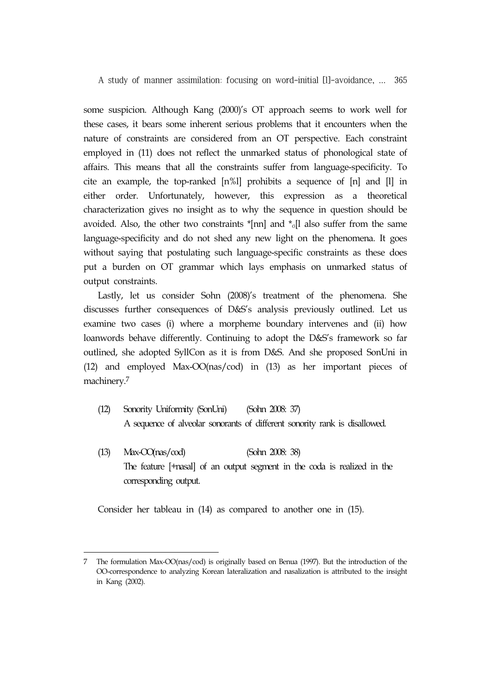some suspicion. Although Kang (2000)'s OT approach seems to work well for these cases, it bears some inherent serious problems that it encounters when the nature of constraints are considered from an OT perspective. Each constraint employed in (11) does not reflect the unmarked status of phonological state of affairs. This means that all the constraints suffer from language-specificity. To cite an example, the top-ranked [n%l] prohibits a sequence of [n] and [l] in either order. Unfortunately, however, this expression as a theoretical characterization gives no insight as to why the sequence in question should be avoided. Also, the other two constraints  $\kappa$ [nn] and  $\kappa$ <sub>0</sub>[l also suffer from the same language-specificity and do not shed any new light on the phenomena. It goes without saying that postulating such language-specific constraints as these does put a burden on OT grammar which lays emphasis on unmarked status of output constraints.

Lastly, let us consider Sohn (2008)'s treatment of the phenomena. She discusses further consequences of D&S's analysis previously outlined. Let us examine two cases (i) where a morpheme boundary intervenes and (ii) how loanwords behave differently. Continuing to adopt the D&S's framework so far outlined, she adopted SyllCon as it is from D&S. And she proposed SonUni in (12) and employed Max-OO(nas/cod) in (13) as her important pieces of machinery.7

- (12) Sonority Uniformity (SonUni) (Sohn 2008: 37) A sequence of alveolar sonorants of different sonority rank is disallowed.
- (13) Max-OO(nas/cod) (Sohn 2008: 38) The feature [+nasal] of an output segment in the coda is realized in the corresponding output.

Consider her tableau in (14) as compared to another one in (15).

<sup>7</sup> The formulation Max-OO(nas/cod) is originally based on Benua (1997). But the introduction of the OO-correspondence to analyzing Korean lateralization and nasalization is attributed to the insight in Kang (2002).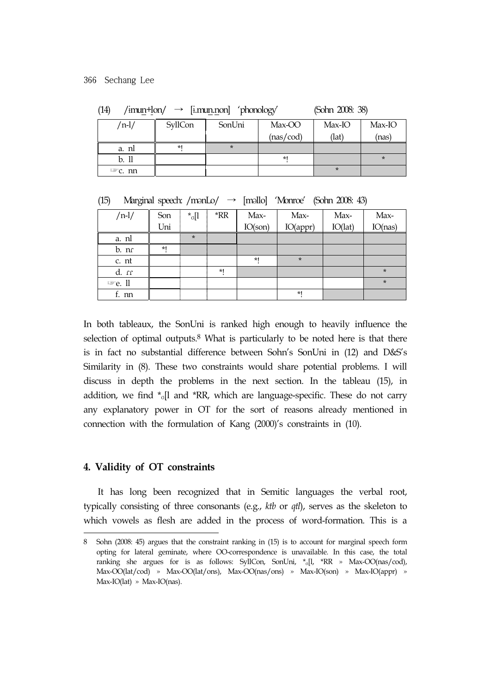|                    |         | ___     | w         |        |          |
|--------------------|---------|---------|-----------|--------|----------|
| $/n-l/$            | SyllCon | SonUni  | Max-OO    | Max-IO | $Max-IO$ |
|                    |         |         | (nas/cod) | (lat)  | (nas)    |
| a. nl              | *1      | $\star$ |           |        |          |
| b. 11              |         |         | $*1$      |        |          |
| $\mathbb{F}C$ . nn |         |         |           |        |          |

(14) / $\text{imum+lon}/ \rightarrow \text{[imun.non]}$  / $\text{phonology}$  (Sohn 2008: 38)

| $\rightarrow$ [məllo] 'Monroe' (Sohn 2008: 43) | (15) | Marginal speech: /monLo/ |  |  |  |  |  |
|------------------------------------------------|------|--------------------------|--|--|--|--|--|
|------------------------------------------------|------|--------------------------|--|--|--|--|--|

| $/n-1/$            | Son | $\ast_{\sigma}$ [1 | *RR | Max-    | Max-     | Max-    | Max-    |
|--------------------|-----|--------------------|-----|---------|----------|---------|---------|
|                    | Uni |                    |     | IO(son) | IO(appr) | IO(lat) | IO(nas) |
| a. nl              |     | $\star$            |     |         |          |         |         |
| b. nr              | $*$ |                    |     |         |          |         |         |
| c. nt              |     |                    |     | $*1$    | $\star$  |         |         |
| d. fr              |     |                    | *1  |         |          |         | $\star$ |
| $\mathbb{F}$ e. 11 |     |                    |     |         |          |         | $\star$ |
| f. nn              |     |                    |     |         | $*1$     |         |         |

In both tableaux, the SonUni is ranked high enough to heavily influence the selection of optimal outputs.<sup>8</sup> What is particularly to be noted here is that there is in fact no substantial difference between Sohn's SonUni in (12) and D&S's Similarity in (8). These two constraints would share potential problems. I will discuss in depth the problems in the next section. In the tableau (15), in addition, we find  $\sigma$ <sub>o</sub>[l and \*RR, which are language-specific. These do not carry any explanatory power in OT for the sort of reasons already mentioned in connection with the formulation of Kang (2000)'s constraints in (10).

### **4. Validity of OT constraints**

It has long been recognized that in Semitic languages the verbal root, typically consisting of three consonants (e.g., *ktb* or *qtl*), serves as the skeleton to which vowels as flesh are added in the process of word-formation. This is a

<sup>8</sup> Sohn (2008: 45) argues that the constraint ranking in (15) is to account for marginal speech form opting for lateral geminate, where OO-correspondence is unavailable. In this case, the total ranking she argues for is as follows: SyllCon, SonUni,  $*_{0}[1, *RR \rightarrow Max-OO(nas/cod),$ Max-OO(lat/cod) » Max-OO(lat/ons), Max-OO(nas/ons) » Max-IO(son) » Max-IO(appr) » Max-IO(lat) » Max-IO(nas).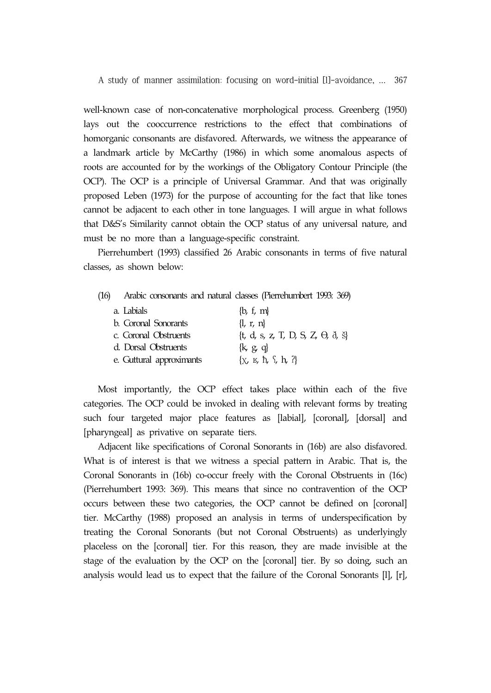well-known case of non-concatenative morphological process. Greenberg (1950) lays out the cooccurrence restrictions to the effect that combinations of homorganic consonants are disfavored. Afterwards, we witness the appearance of a landmark article by McCarthy (1986) in which some anomalous aspects of roots are accounted for by the workings of the Obligatory Contour Principle (the OCP). The OCP is a principle of Universal Grammar. And that was originally proposed Leben (1973) for the purpose of accounting for the fact that like tones cannot be adjacent to each other in tone languages. I will argue in what follows that D&S's Similarity cannot obtain the OCP status of any universal nature, and must be no more than a language-specific constraint.

Pierrehumbert (1993) classified 26 Arabic consonants in terms of five natural classes, as shown below:

| (16) | Arabic consonants and natural classes (Pierrehumbert 1993: 369) |  |  |  |  |  |
|------|-----------------------------------------------------------------|--|--|--|--|--|
|------|-----------------------------------------------------------------|--|--|--|--|--|

| a. Labials                  | $\{b, f, m\}$                                            |
|-----------------------------|----------------------------------------------------------|
| <b>b.</b> Coronal Sonorants | $\{l, r, n\}$                                            |
| c. Coronal Obstruents       | $\{t, d, s, z, T, D, S, Z, \Theta, \delta, \tilde{s}\}\$ |
| d. Dorsal Obstruents        | $\{k, g, q\}$                                            |
| e. Guttural approximants    | $\{x, y, \hbar, \xi, h, ?\}$                             |

Most importantly, the OCP effect takes place within each of the five categories. The OCP could be invoked in dealing with relevant forms by treating such four targeted major place features as [labial], [coronal], [dorsal] and [pharyngeal] as privative on separate tiers.

Adjacent like specifications of Coronal Sonorants in (16b) are also disfavored. What is of interest is that we witness a special pattern in Arabic. That is, the Coronal Sonorants in (16b) co-occur freely with the Coronal Obstruents in (16c) (Pierrehumbert 1993: 369). This means that since no contravention of the OCP occurs between these two categories, the OCP cannot be defined on [coronal] tier. McCarthy (1988) proposed an analysis in terms of underspecification by treating the Coronal Sonorants (but not Coronal Obstruents) as underlyingly placeless on the [coronal] tier. For this reason, they are made invisible at the stage of the evaluation by the OCP on the [coronal] tier. By so doing, such an analysis would lead us to expect that the failure of the Coronal Sonorants [l], [r],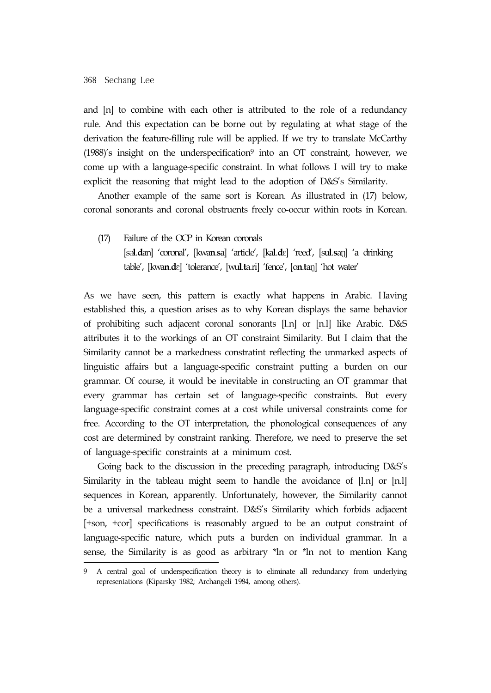and [n] to combine with each other is attributed to the role of a redundancy rule. And this expectation can be borne out by regulating at what stage of the derivation the feature-filling rule will be applied. If we try to translate McCarthy  $(1988)'$ s insight on the underspecification<sup>9</sup> into an OT constraint, however, we come up with a language-specific constraint. In what follows I will try to make explicit the reasoning that might lead to the adoption of D&S's Similarity.

Another example of the same sort is Korean. As illustrated in (17) below, coronal sonorants and coronal obstruents freely co-occur within roots in Korean.

(17) Failure of the OCP in Korean coronals [sǝ**l**.**d**an] 'coronal', [kwa**n**.**s**a] 'article', [ka**l**.**d**ɛ] 'reed', [su**l**.**s**aŋ] 'a drinking table', [kwa**n**.**d**ɛ] 'tolerance', [wu**l**.**t**a.ri] 'fence', [o**n**.**t**aŋ] 'hot water'

As we have seen, this pattern is exactly what happens in Arabic. Having established this, a question arises as to why Korean displays the same behavior of prohibiting such adjacent coronal sonorants [l.n] or [n.l] like Arabic. D&S attributes it to the workings of an OT constraint Similarity. But I claim that the Similarity cannot be a markedness constratint reflecting the unmarked aspects of linguistic affairs but a language-specific constraint putting a burden on our grammar. Of course, it would be inevitable in constructing an OT grammar that every grammar has certain set of language-specific constraints. But every language-specific constraint comes at a cost while universal constraints come for free. According to the OT interpretation, the phonological consequences of any cost are determined by constraint ranking. Therefore, we need to preserve the set of language-specific constraints at a minimum cost.

Going back to the discussion in the preceding paragraph, introducing D&S's Similarity in the tableau might seem to handle the avoidance of [l.n] or [n.l] sequences in Korean, apparently. Unfortunately, however, the Similarity cannot be a universal markedness constraint. D&S's Similarity which forbids adjacent [+son, +cor] specifications is reasonably argued to be an output constraint of language-specific nature, which puts a burden on individual grammar. In a sense, the Similarity is as good as arbitrary \*ln or \*ln not to mention Kang

<sup>9</sup> A central goal of underspecification theory is to eliminate all redundancy from underlying representations (Kiparsky 1982; Archangeli 1984, among others).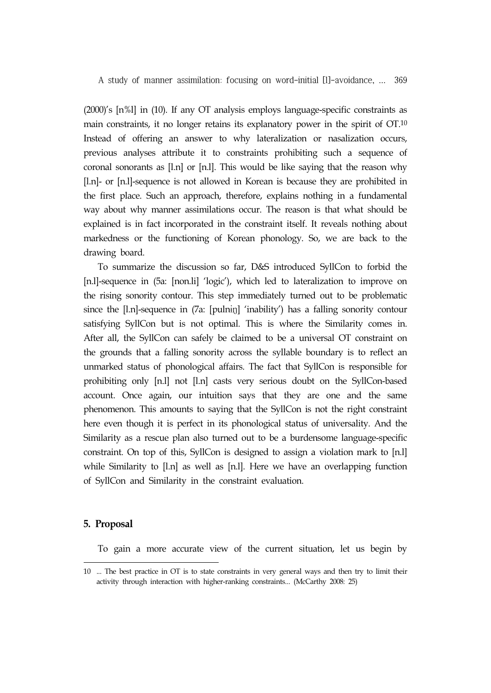(2000)'s [n%l] in (10). If any OT analysis employs language-specific constraints as main constraints, it no longer retains its explanatory power in the spirit of OT.10 Instead of offering an answer to why lateralization or nasalization occurs, previous analyses attribute it to constraints prohibiting such a sequence of coronal sonorants as [l.n] or [n.l]. This would be like saying that the reason why [l.n]- or [n.l]-sequence is not allowed in Korean is because they are prohibited in the first place. Such an approach, therefore, explains nothing in a fundamental way about why manner assimilations occur. The reason is that what should be explained is in fact incorporated in the constraint itself. It reveals nothing about markedness or the functioning of Korean phonology. So, we are back to the drawing board.

To summarize the discussion so far, D&S introduced SyllCon to forbid the [n.l]-sequence in (5a: [non.li] 'logic'), which led to lateralization to improve on the rising sonority contour. This step immediately turned out to be problematic since the [l.n]-sequence in (7a: [pulnɨŋ] 'inability') has a falling sonority contour satisfying SyllCon but is not optimal. This is where the Similarity comes in. After all, the SyllCon can safely be claimed to be a universal OT constraint on the grounds that a falling sonority across the syllable boundary is to reflect an unmarked status of phonological affairs. The fact that SyllCon is responsible for prohibiting only [n.l] not [l.n] casts very serious doubt on the SyllCon-based account. Once again, our intuition says that they are one and the same phenomenon. This amounts to saying that the SyllCon is not the right constraint here even though it is perfect in its phonological status of universality. And the Similarity as a rescue plan also turned out to be a burdensome language-specific constraint. On top of this, SyllCon is designed to assign a violation mark to [n.l] while Similarity to [l.n] as well as [n.l]. Here we have an overlapping function of SyllCon and Similarity in the constraint evaluation.

### **5. Proposal**

To gain a more accurate view of the current situation, let us begin by

<sup>10 ...</sup> The best practice in OT is to state constraints in very general ways and then try to limit their activity through interaction with higher-ranking constraints... (McCarthy 2008: 25)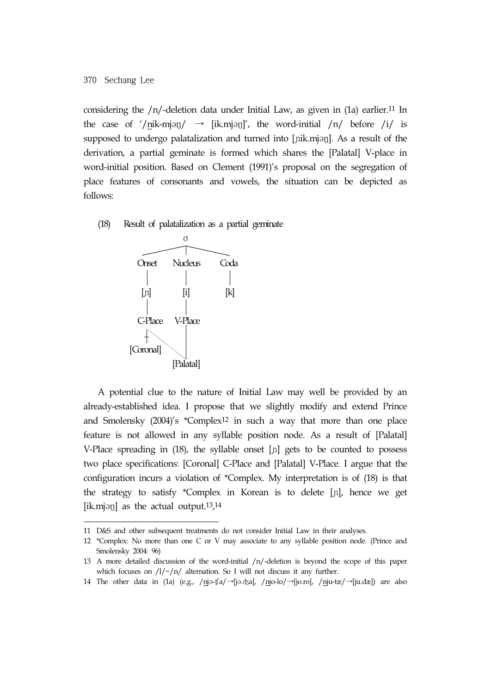considering the  $/n$ -deletion data under Initial Law, as given in  $(1a)$  earlier.<sup>11</sup> In the case of '/nik-mjən/  $\rightarrow$  [ik.mjən]', the word-initial /n/ before /i/ is supposed to undergo palatalization and turned into [nik.mjan]. As a result of the derivation, a partial geminate is formed which shares the [Palatal] V-place in word-initial position. Based on Clement (1991)'s proposal on the segregation of place features of consonants and vowels, the situation can be depicted as follows:

(18) Result of palatalization as a partial geminate



A potential clue to the nature of Initial Law may well be provided by an already-established idea. I propose that we slightly modify and extend Prince and Smolensky (2004)'s \*Complex12 in such a way that more than one place feature is not allowed in any syllable position node. As a result of [Palatal] V-Place spreading in (18), the syllable onset [ɲ] gets to be counted to possess two place specifications: [Coronal] C-Place and [Palatal] V-Place. I argue that the configuration incurs a violation of \*Complex. My interpretation is of (18) is that the strategy to satisfy \*Complex in Korean is to delete [ɲ], hence we get [ik.mjən] as the actual output.<sup>13</sup>,<sup>14</sup>

14 The other data in (1a) (e.g., /njə-ʧa/→[jə.ʤa], /njo-lo/→[jo.ro], /nju-tæ/→[ju.dæ]) are also

<sup>11</sup> D&S and other subsequent treatments do not consider Initial Law in their analyses.

<sup>12 \*</sup>Complex: No more than one C or V may associate to any syllable position node. (Prince and Smolensky 2004: 96)

<sup>13</sup> A more detailed discussion of the word-initial /n/-deletion is beyond the scope of this paper which focuses on  $/1/\gamma/n/$  alternation. So I will not discuss it any further.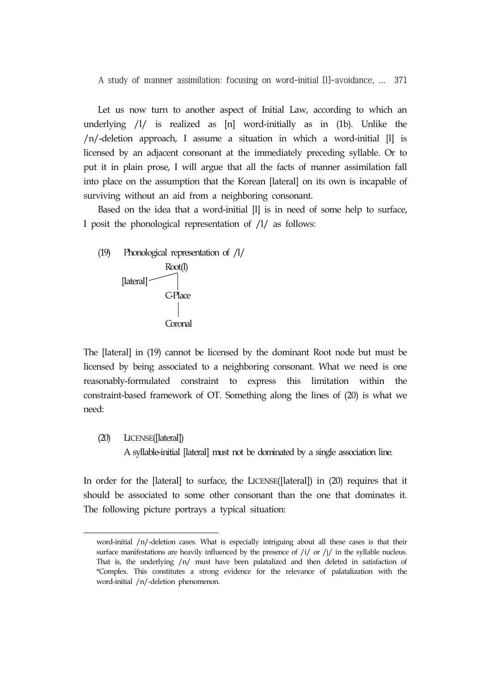Let us now turn to another aspect of Initial Law, according to which an underlying /l/ is realized as [n] word-initially as in (1b). Unlike the /n/-deletion approach, I assume a situation in which a word-initial [l] is licensed by an adjacent consonant at the immediately preceding syllable. Or to put it in plain prose, I will argue that all the facts of manner assimilation fall into place on the assumption that the Korean [lateral] on its own is incapable of surviving without an aid from a neighboring consonant.

Based on the idea that a word-initial [l] is in need of some help to surface, I posit the phonological representation of /l/ as follows:



The [lateral] in (19) cannot be licensed by the dominant Root node but must be licensed by being associated to a neighboring consonant. What we need is one reasonably-formulated constraint to express this limitation within the constraint-based framework of OT. Something along the lines of (20) is what we need:

(20) LICENSE([lateral])

A syllable-initial [lateral] must not be dominated by a single association line.

In order for the [lateral] to surface, the LICENSE([lateral]) in (20) requires that it should be associated to some other consonant than the one that dominates it. The following picture portrays a typical situation:

word-initial /n/-deletion cases. What is especially intriguing about all these cases is that their surface manifestations are heavily influenced by the presence of  $/j /$  or  $/j /$  in the syllable nucleus. That is, the underlying /n/ must have been palatalized and then deleted in satisfaction of \*Complex. This constitutes a strong evidence for the relevance of palatalization with the word-initial /n/-deletion phenomenon.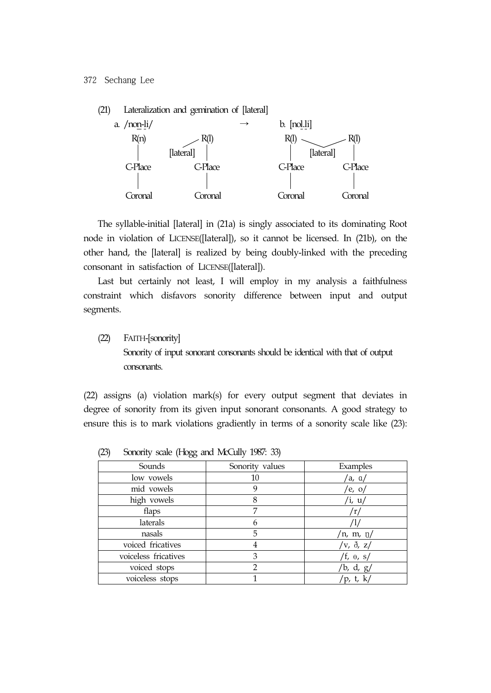

The syllable-initial [lateral] in (21a) is singly associated to its dominating Root node in violation of LICENSE([lateral]), so it cannot be licensed. In (21b), on the other hand, the [lateral] is realized by being doubly-linked with the preceding consonant in satisfaction of LICENSE([lateral]).

Last but certainly not least, I will employ in my analysis a faithfulness constraint which disfavors sonority difference between input and output segments.

(22) FAITH-[sonority]

Sonority of input sonorant consonants should be identical with that of output consonants.

(22) assigns (a) violation mark(s) for every output segment that deviates in degree of sonority from its given input sonorant consonants. A good strategy to ensure this is to mark violations gradiently in terms of a sonority scale like (23):

| Sounds               | Sonority values | Examples          |
|----------------------|-----------------|-------------------|
| low vowels           | 10              | /a, ɑ/            |
| mid vowels           | 9               | /e, $o/$          |
| high vowels          | 8               | /i, $u/$          |
| flaps                | 7               | /r/               |
| laterals             | n               |                   |
| nasals               | 5               | /n, m, $\eta$ /   |
| voiced fricatives    | 4               | /v, $\delta$ , z/ |
| voiceless fricatives | 3               | /f, $\theta$ , s/ |
| voiced stops         | 2               | /b, d, $g/$       |
| voiceless stops      |                 | /p, t, k/         |

(23) Sonority scale (Hogg and McCully 1987: 33)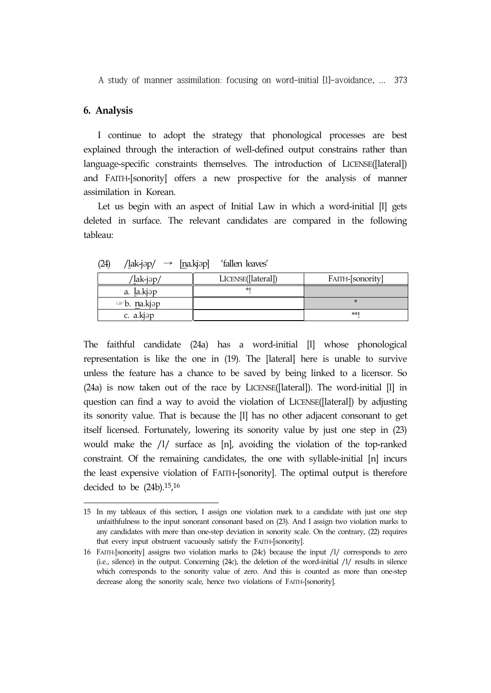#### **6. Analysis**

I continue to adopt the strategy that phonological processes are best explained through the interaction of well-defined output constrains rather than language-specific constraints themselves. The introduction of LICENSE([lateral]) and FAITH-[sonority] offers a new prospective for the analysis of manner assimilation in Korean.

Let us begin with an aspect of Initial Law in which a word-initial [l] gets deleted in surface. The relevant candidates are compared in the following tableau:

| /lak-jəp/                                         | LICENSE([lateral]) | FAITH-[sonority] |
|---------------------------------------------------|--------------------|------------------|
| a. la.kjəp                                        | $*1$               |                  |
| $\blacktriangleright$ b. na.kj $\triangleright$ p |                    |                  |
| c. a.kjap                                         |                    | $**1$            |

 $(24)$  /lak-jəp/  $\rightarrow$  [na.kjəp] 'fallen leaves'

The faithful candidate (24a) has a word-initial [l] whose phonological representation is like the one in (19). The [lateral] here is unable to survive unless the feature has a chance to be saved by being linked to a licensor. So (24a) is now taken out of the race by LICENSE([lateral]). The word-initial [l] in question can find a way to avoid the violation of LICENSE([lateral]) by adjusting its sonority value. That is because the [l] has no other adjacent consonant to get itself licensed. Fortunately, lowering its sonority value by just one step in (23) would make the /l/ surface as [n], avoiding the violation of the top-ranked constraint. Of the remaining candidates, the one with syllable-initial [n] incurs the least expensive violation of FAITH-[sonority]. The optimal output is therefore decided to be (24b).15,16

<sup>15</sup> In my tableaux of this section, I assign one violation mark to a candidate with just one step unfaithfulness to the input sonorant consonant based on (23). And I assign two violation marks to any candidates with more than one-step deviation in sonority scale. On the contrary, (22) requires that every input obstruent vacuously satisfy the FAITH-[sonority].

<sup>16</sup> FAITH-[sonority] assigns two violation marks to (24c) because the input /l/ corresponds to zero (i.e., silence) in the output. Concerning (24c), the deletion of the word-initial /l/ results in silence which corresponds to the sonority value of zero. And this is counted as more than one-step decrease along the sonority scale, hence two violations of FAITH-[sonority].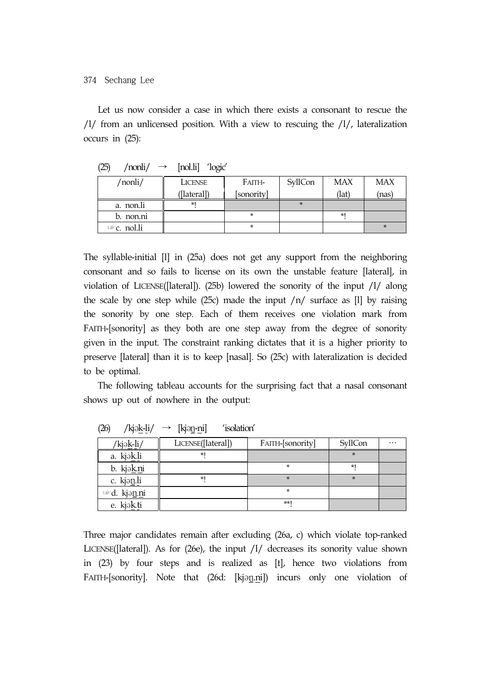Let us now consider a case in which there exists a consonant to rescue the /l/ from an unlicensed position. With a view to rescuing the /l/, lateralization occurs in (25):

| /nonli/            | LICENSE     | SyllCon<br>Faith- |  | <b>MAX</b> | <b>MAX</b> |
|--------------------|-------------|-------------------|--|------------|------------|
|                    | ([lateral]) | [sonority]        |  | (lat)      | (nas)      |
| a. non.li          | $*1$        |                   |  |            |            |
| b. non.ni          |             |                   |  | $*1$       |            |
| $\infty$ c. nol.li |             |                   |  |            |            |

(25) / $n$ onli/  $\rightarrow$   $[n$ ol.li] 'logic'

The syllable-initial [l] in (25a) does not get any support from the neighboring consonant and so fails to license on its own the unstable feature [lateral], in violation of LICENSE([lateral]). (25b) lowered the sonority of the input /l/ along the scale by one step while (25c) made the input  $/n/$  surface as [1] by raising the sonority by one step. Each of them receives one violation mark from FAITH-[sonority] as they both are one step away from the degree of sonority given in the input. The constraint ranking dictates that it is a higher priority to preserve [lateral] than it is to keep [nasal]. So (25c) with lateralization is decided to be optimal.

The following tableau accounts for the surprising fact that a nasal consonant shows up out of nowhere in the output:

| $\frac{1}{2}$          | المستقطعة المتحرمة |                  |         |          |
|------------------------|--------------------|------------------|---------|----------|
| /kjə <u>k-li</u> /     | LICENSE([lateral]) | FAITH-[sonority] | SyllCon | $\cdots$ |
| a. kjak.li             | $*1$               |                  | $\star$ |          |
| b. kjak.ni             |                    | $\star$          | *1      |          |
| c. kjanli              | $*1$               | $\star$          | $\star$ |          |
| <sup>■</sup> d. kjənni |                    | $\star$          |         |          |
| e. kjak.ti             |                    | $**1$            |         |          |

 $(26)$  /kjək-li/  $\rightarrow$  [kiən-ni] 'isolation'

Three major candidates remain after excluding (26a, c) which violate top-ranked LICENSE([lateral]). As for (26e), the input /l/ decreases its sonority value shown in (23) by four steps and is realized as [t], hence two violations from FAITH-[sonority]. Note that (26d: [kjəŋ.ni]) incurs only one violation of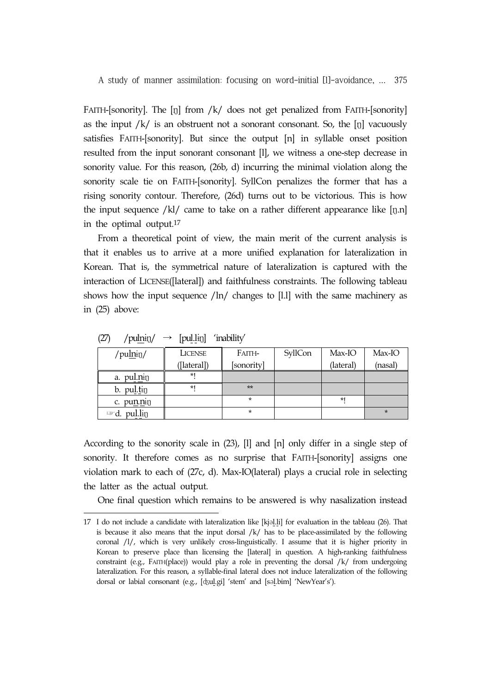FAITH-[sonority]. The [ŋ] from /k/ does not get penalized from FAITH-[sonority] as the input /k/ is an obstruent not a sonorant consonant. So, the [ŋ] vacuously satisfies FAITH-[sonority]. But since the output [n] in syllable onset position resulted from the input sonorant consonant [l], we witness a one-step decrease in sonority value. For this reason, (26b, d) incurring the minimal violation along the sonority scale tie on FAITH-[sonority]. SyllCon penalizes the former that has a rising sonority contour. Therefore, (26d) turns out to be victorious. This is how the input sequence  $/kl/$  came to take on a rather different appearance like [ŋ.n] in the optimal output.17

From a theoretical point of view, the main merit of the current analysis is that it enables us to arrive at a more unified explanation for lateralization in Korean. That is, the symmetrical nature of lateralization is captured with the interaction of LICENSE([lateral]) and faithfulness constraints. The following tableau shows how the input sequence  $/$ ln $/$  changes to [l.l] with the same machinery as in (25) above:

| /pulnin/                   | <b>LICENSE</b> | Faith-     | SyllCon | Max-IO    | Max-IO  |
|----------------------------|----------------|------------|---------|-----------|---------|
|                            | ([lateral])    | [sonority] |         | (lateral) | (nasal) |
| a. pulning                 | *1             |            |         |           |         |
| b. pul.tin                 | $*1$           | $**$       |         |           |         |
| c. punning                 |                | $\star$    |         | *1        |         |
| pul.lin<br>$\mathbb{Z}$ d. |                | $\star$    |         |           | $\star$ |

 $(27)$  /pulnin/  $\rightarrow$  [pul.lin] 'inability'

According to the sonority scale in (23), [l] and [n] only differ in a single step of sonority. It therefore comes as no surprise that FAITH-[sonority] assigns one violation mark to each of (27c, d). Max-IO(lateral) plays a crucial role in selecting the latter as the actual output.

One final question which remains to be answered is why nasalization instead

<sup>17</sup> I do not include a candidate with lateralization like [kjəl.li] for evaluation in the tableau (26). That is because it also means that the input dorsal  $/k/$  has to be place-assimilated by the following coronal /l/, which is very unlikely cross-linguistically. I assume that it is higher priority in Korean to preserve place than licensing the [lateral] in question. A high-ranking faithfulness constraint (e.g., FAITH(place)) would play a role in preventing the dorsal  $/k/$  from undergoing lateralization. For this reason, a syllable-final lateral does not induce lateralization of the following dorsal or labial consonant (e.g., [ʤul.gi] 'stem' and [səl.bim] 'NewYear's').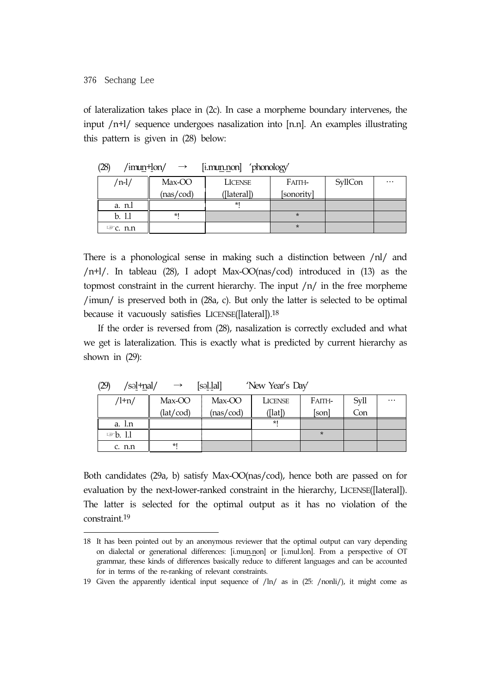of lateralization takes place in (2c). In case a morpheme boundary intervenes, the input /n+l/ sequence undergoes nasalization into [n.n]. An examples illustrating this pattern is given in (28) below:

|                 | $   -$    | ___            | ◡          |         |          |
|-----------------|-----------|----------------|------------|---------|----------|
| /n-l/           | Max-OO    | <b>LICENSE</b> | Faith-     | SyllCon | $\cdots$ |
|                 | (nas/cod) | ([lateral])    | [sonority] |         |          |
| a. n.l          |           | *۱             |            |         |          |
| b. 1.1          | $*1$      |                | $\star$    |         |          |
| $\infty$ c. n.n |           |                | $\ast$     |         |          |

 $(28)$  /imun+lon/  $\rightarrow$  [i.mun.non] 'phonology'

There is a phonological sense in making such a distinction between /nl/ and /n+l/. In tableau (28), I adopt Max-OO(nas/cod) introduced in (13) as the topmost constraint in the current hierarchy. The input  $/n/$  in the free morpheme /ɨmun/ is preserved both in (28a, c). But only the latter is selected to be optimal because it vacuously satisfies LICENSE([lateral]).18

If the order is reversed from (28), nasalization is correctly excluded and what we get is lateralization. This is exactly what is predicted by current hierarchy as shown in (29):

| レンナ<br>/ פסµ י⊥נט <i>ע</i><br>$\mathsf{P}$<br>$1$ VCW $1$ Cal $3$ Day |           |           |            |         |      |          |
|-----------------------------------------------------------------------|-----------|-----------|------------|---------|------|----------|
| $/l + n/$                                                             | Max-OO    | Max-OO    | LICENSE    | Faith-  | Svll | $\cdots$ |
|                                                                       | (lat/cod) | (nas/cod) | $($ [lat]) | [son]   | Con  |          |
| a. l.n                                                                |           |           | $*1$       |         |      |          |
| $\n  b. 1.1\n$                                                        |           |           |            | $\star$ |      |          |
| c. n.n                                                                | $*1$      |           |            |         |      |          |

 $(29)$   $\left( \text{c}^2 + \text{c}^2 \right)$   $\rightarrow$   $\left[ \text{c}^2 + \text{c}^2 \right]$  'New Year's Day'

Both candidates (29a, b) satisfy Max-OO(nas/cod), hence both are passed on for evaluation by the next-lower-ranked constraint in the hierarchy, LICENSE([lateral]). The latter is selected for the optimal output as it has no violation of the constraint.19

<sup>18</sup> It has been pointed out by an anonymous reviewer that the optimal output can vary depending on dialectal or generational differences: [ɨ.mun.non] or [ɨ.mul.lon]. From a perspective of OT grammar, these kinds of differences basically reduce to different languages and can be accounted for in terms of the re-ranking of relevant constraints.

<sup>19</sup> Given the apparently identical input sequence of /ln/ as in (25: /nonli/), it might come as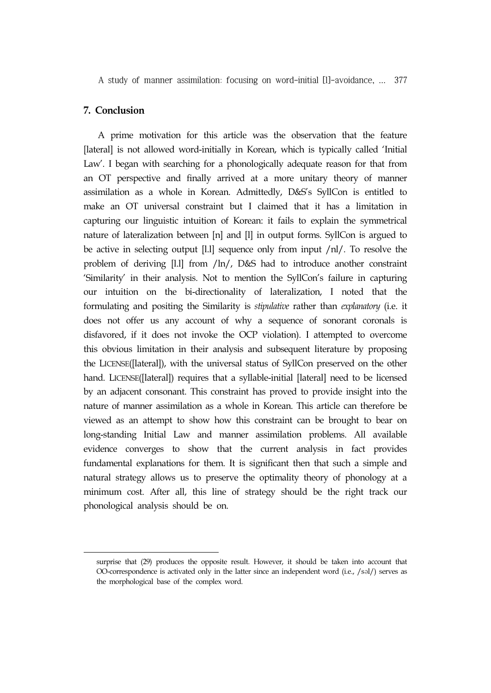### **7. Conclusion**

A prime motivation for this article was the observation that the feature [lateral] is not allowed word-initially in Korean, which is typically called 'Initial Law'. I began with searching for a phonologically adequate reason for that from an OT perspective and finally arrived at a more unitary theory of manner assimilation as a whole in Korean. Admittedly, D&S's SyllCon is entitled to make an OT universal constraint but I claimed that it has a limitation in capturing our linguistic intuition of Korean: it fails to explain the symmetrical nature of lateralization between [n] and [l] in output forms. SyllCon is argued to be active in selecting output [l.l] sequence only from input /nl/. To resolve the problem of deriving [l.l] from /ln/, D&S had to introduce another constraint 'Similarity' in their analysis. Not to mention the SyllCon's failure in capturing our intuition on the bi-directionality of lateralization, I noted that the formulating and positing the Similarity is *stipulative* rather than *explanatory* (i.e. it does not offer us any account of why a sequence of sonorant coronals is disfavored, if it does not invoke the OCP violation). I attempted to overcome this obvious limitation in their analysis and subsequent literature by proposing the LICENSE([lateral]), with the universal status of SyllCon preserved on the other hand. LICENSE([lateral]) requires that a syllable-initial [lateral] need to be licensed by an adjacent consonant. This constraint has proved to provide insight into the nature of manner assimilation as a whole in Korean. This article can therefore be viewed as an attempt to show how this constraint can be brought to bear on long-standing Initial Law and manner assimilation problems. All available evidence converges to show that the current analysis in fact provides fundamental explanations for them. It is significant then that such a simple and natural strategy allows us to preserve the optimality theory of phonology at a minimum cost. After all, this line of strategy should be the right track our phonological analysis should be on.

surprise that (29) produces the opposite result. However, it should be taken into account that OO-correspondence is activated only in the latter since an independent word (i.e., /səl/) serves as the morphological base of the complex word.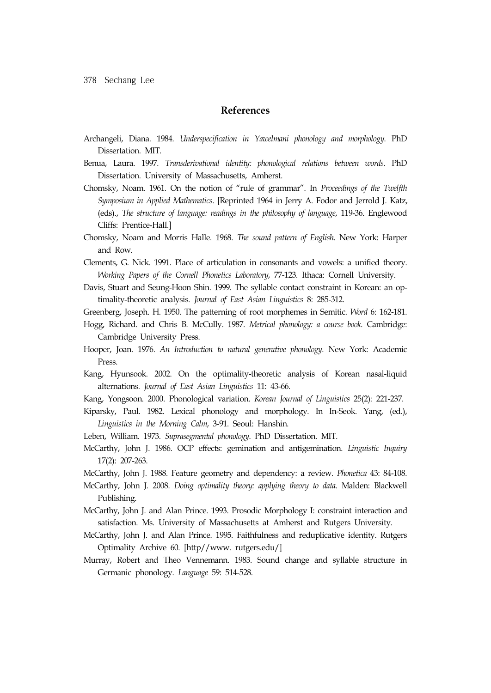### **References**

- Archangeli, Diana. 1984. *Underspecification in Yawelmani phonology and morphology*. PhD Dissertation. MIT.
- Benua, Laura. 1997. *Transderivational identity: phonological relations between words*. PhD Dissertation. University of Massachusetts, Amherst.
- Chomsky, Noam. 1961. On the notion of "rule of grammar". In *Proceedings of the Twelfth Symposium in Applied Mathematics*. [Reprinted 1964 in Jerry A. Fodor and Jerrold J. Katz, (eds)., *The structure of language: readings in the philosophy of language*, 119-36. Englewood Cliffs: Prentice-Hall.]
- Chomsky, Noam and Morris Halle. 1968. *The sound pattern of English*. New York: Harper and Row.
- Clements, G. Nick. 1991. Place of articulation in consonants and vowels: a unified theory. *Working Papers of the Cornell Phonetics Laboratory*, 77-123. Ithaca: Cornell University.
- Davis, Stuart and Seung-Hoon Shin. 1999. The syllable contact constraint in Korean: an optimality-theoretic analysis. *Journal of East Asian Linguistics* 8: 285-312.

Greenberg, Joseph. H. 1950. The patterning of root morphemes in Semitic. *Word* 6: 162-181.

- Hogg, Richard. and Chris B. McCully. 1987. *Metrical phonology: a course book*. Cambridge: Cambridge University Press.
- Hooper, Joan. 1976. *An Introduction to natural generative phonology*. New York: Academic Press.
- Kang, Hyunsook. 2002. On the optimality-theoretic analysis of Korean nasal-liquid alternations*. Journal of East Asian Linguistics* 11: 43-66.
- Kang, Yongsoon. 2000. Phonological variation. *Korean Journal of Linguistics* 25(2): 221-237.
- Kiparsky, Paul. 1982. Lexical phonology and morphology. In In-Seok. Yang, (ed.), *Linguistics in the Morning Calm*, 3-91. Seoul: Hanshin.
- Leben, William. 1973. *Suprasegmental phonology*. PhD Dissertation. MIT.
- McCarthy, John J. 1986. OCP effects: gemination and antigemination. *Linguistic Inquiry* 17(2): 207-263.
- McCarthy, John J. 1988. Feature geometry and dependency: a review. *Phonetica* 43: 84-108.
- McCarthy, John J. 2008. *Doing optimality theory: applying theory to data*. Malden: Blackwell Publishing.
- McCarthy, John J. and Alan Prince. 1993. Prosodic Morphology I: constraint interaction and satisfaction. Ms. University of Massachusetts at Amherst and Rutgers University.
- McCarthy, John J. and Alan Prince. 1995. Faithfulness and reduplicative identity. Rutgers Optimality Archive 60. [http//www. rutgers.edu/]
- Murray, Robert and Theo Vennemann. 1983. Sound change and syllable structure in Germanic phonology. *Language* 59: 514-528.